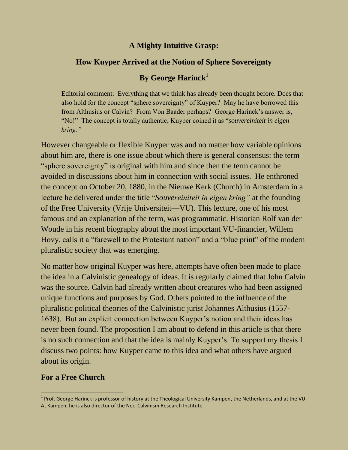## **A Mighty Intuitive Grasp:**

## **How Kuyper Arrived at the Notion of Sphere Sovereignty**

# **By George Harinck<sup>1</sup>**

Editorial comment: Everything that we think has already been thought before. Does that also hold for the concept "sphere sovereignty" of Kuyper? May he have borrowed this from Althusius or Calvin? From Von Baader perhaps? George Harinck's answer is, "No!" The concept is totally authentic; Kuyper coined it as "*souvereiniteit in eigen kring."*

However changeable or flexible Kuyper was and no matter how variable opinions about him are, there is one issue about which there is general consensus: the term "sphere sovereignty" is original with him and since then the term cannot be avoided in discussions about him in connection with social issues. He enthroned the concept on October 20, 1880, in the Nieuwe Kerk (Church) in Amsterdam in a lecture he delivered under the title "*Souvereiniteit in eigen kring"* at the founding of the Free University (Vrije Universiteit—VU). This lecture, one of his most famous and an explanation of the term, was programmatic. Historian Rolf van der Woude in his recent biography about the most important VU-financier, Willem Hovy, calls it a "farewell to the Protestant nation" and a "blue print" of the modern pluralistic society that was emerging.

No matter how original Kuyper was here, attempts have often been made to place the idea in a Calvinistic genealogy of ideas. It is regularly claimed that John Calvin was the source. Calvin had already written about creatures who had been assigned unique functions and purposes by God. Others pointed to the influence of the pluralistic political theories of the Calvinistic jurist Johannes Althusius (1557- 1638). But an explicit connection between Kuyper's notion and their ideas has never been found. The proposition I am about to defend in this article is that there is no such connection and that the idea is mainly Kuyper's. To support my thesis I discuss two points: how Kuyper came to this idea and what others have argued about its origin.

## **For a Free Church**

<sup>&</sup>lt;sup>1</sup> Prof. George Harinck is professor of history at the Theological University Kampen, the Netherlands, and at the VU. At Kampen, he is also director of the Neo-Calvinism Research Institute.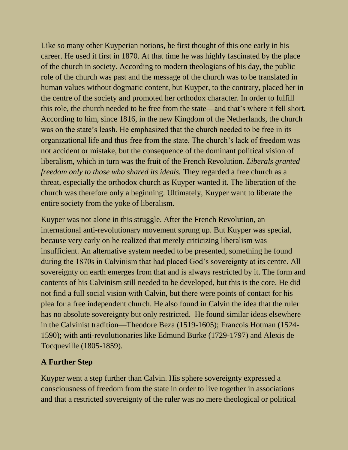Like so many other Kuyperian notions, he first thought of this one early in his career. He used it first in 1870. At that time he was highly fascinated by the place of the church in society. According to modern theologians of his day, the public role of the church was past and the message of the church was to be translated in human values without dogmatic content, but Kuyper, to the contrary, placed her in the centre of the society and promoted her orthodox character. In order to fulfill this role, the church needed to be free from the state—and that's where it fell short. According to him, since 1816, in the new Kingdom of the Netherlands, the church was on the state's leash. He emphasized that the church needed to be free in its organizational life and thus free from the state. The church's lack of freedom was not accident or mistake, but the consequence of the dominant political vision of liberalism, which in turn was the fruit of the French Revolution. *Liberals granted freedom only to those who shared its ideals.* They regarded a free church as a threat, especially the orthodox church as Kuyper wanted it. The liberation of the church was therefore only a beginning. Ultimately, Kuyper want to liberate the entire society from the yoke of liberalism.

Kuyper was not alone in this struggle. After the French Revolution, an international anti-revolutionary movement sprung up. But Kuyper was special, because very early on he realized that merely criticizing liberalism was insufficient. An alternative system needed to be presented, something he found during the 1870s in Calvinism that had placed God's sovereignty at its centre. All sovereignty on earth emerges from that and is always restricted by it. The form and contents of his Calvinism still needed to be developed, but this is the core. He did not find a full social vision with Calvin, but there were points of contact for his plea for a free independent church. He also found in Calvin the idea that the ruler has no absolute sovereignty but only restricted. He found similar ideas elsewhere in the Calvinist tradition—Theodore Beza (1519-1605); Francois Hotman (1524- 1590); with anti-revolutionaries like Edmund Burke (1729-1797) and Alexis de Tocqueville (1805-1859).

# **A Further Step**

Kuyper went a step further than Calvin. His sphere sovereignty expressed a consciousness of freedom from the state in order to live together in associations and that a restricted sovereignty of the ruler was no mere theological or political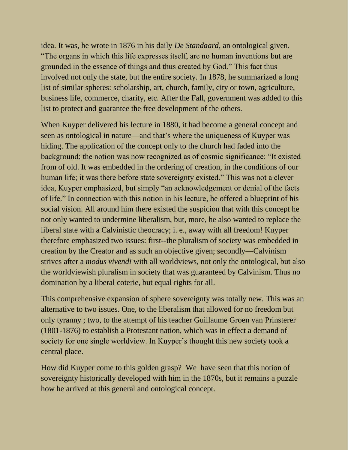idea. It was, he wrote in 1876 in his daily *De Standaard*, an ontological given. "The organs in which this life expresses itself, are no human inventions but are grounded in the essence of things and thus created by God." This fact thus involved not only the state, but the entire society. In 1878, he summarized a long list of similar spheres: scholarship, art, church, family, city or town, agriculture, business life, commerce, charity, etc. After the Fall, government was added to this list to protect and guarantee the free development of the others.

When Kuyper delivered his lecture in 1880, it had become a general concept and seen as ontological in nature—and that's where the uniqueness of Kuyper was hiding. The application of the concept only to the church had faded into the background; the notion was now recognized as of cosmic significance: "It existed from of old. It was embedded in the ordering of creation, in the conditions of our human life; it was there before state sovereignty existed." This was not a clever idea, Kuyper emphasized, but simply "an acknowledgement or denial of the facts of life." In connection with this notion in his lecture, he offered a blueprint of his social vision. All around him there existed the suspicion that with this concept he not only wanted to undermine liberalism, but, more, he also wanted to replace the liberal state with a Calvinistic theocracy; i. e., away with all freedom! Kuyper therefore emphasized two issues: first--the pluralism of society was embedded in creation by the Creator and as such an objective given; secondly—Calvinism strives after a *modus vivendi* with all worldviews, not only the ontological, but also the worldviewish pluralism in society that was guaranteed by Calvinism. Thus no domination by a liberal coterie, but equal rights for all.

This comprehensive expansion of sphere sovereignty was totally new. This was an alternative to two issues. One, to the liberalism that allowed for no freedom but only tyranny ; two, to the attempt of his teacher Guillaume Groen van Prinsterer (1801-1876) to establish a Protestant nation, which was in effect a demand of society for one single worldview. In Kuyper's thought this new society took a central place.

How did Kuyper come to this golden grasp? We have seen that this notion of sovereignty historically developed with him in the 1870s, but it remains a puzzle how he arrived at this general and ontological concept.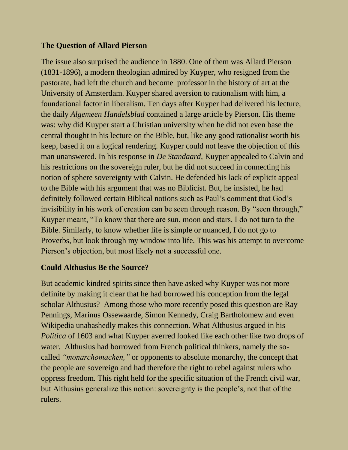### **The Question of Allard Pierson**

The issue also surprised the audience in 1880. One of them was Allard Pierson (1831-1896), a modern theologian admired by Kuyper, who resigned from the pastorate, had left the church and become professor in the history of art at the University of Amsterdam. Kuyper shared aversion to rationalism with him, a foundational factor in liberalism. Ten days after Kuyper had delivered his lecture, the daily *Algemeen Handelsblad* contained a large article by Pierson. His theme was: why did Kuyper start a Christian university when he did not even base the central thought in his lecture on the Bible, but, like any good rationalist worth his keep, based it on a logical rendering. Kuyper could not leave the objection of this man unanswered. In his response in *De Standaard,* Kuyper appealed to Calvin and his restrictions on the sovereign ruler, but he did not succeed in connecting his notion of sphere sovereignty with Calvin. He defended his lack of explicit appeal to the Bible with his argument that was no Biblicist. But, he insisted, he had definitely followed certain Biblical notions such as Paul's comment that God's invisibility in his work of creation can be seen through reason. By "seen through," Kuyper meant, "To know that there are sun, moon and stars, I do not turn to the Bible. Similarly, to know whether life is simple or nuanced, I do not go to Proverbs, but look through my window into life. This was his attempt to overcome Pierson's objection, but most likely not a successful one.

#### **Could Althusius Be the Source?**

But academic kindred spirits since then have asked why Kuyper was not more definite by making it clear that he had borrowed his conception from the legal scholar Althusius? Among those who more recently posed this question are Ray Pennings, Marinus Ossewaarde, Simon Kennedy, Craig Bartholomew and even Wikipedia unabashedly makes this connection. What Althusius argued in his *Politica* of 1603 and what Kuyper averred looked like each other like two drops of water. Althusius had borrowed from French political thinkers, namely the socalled *"monarchomachen,"* or opponents to absolute monarchy, the concept that the people are sovereign and had therefore the right to rebel against rulers who oppress freedom. This right held for the specific situation of the French civil war, but Althusius generalize this notion: sovereignty is the people's, not that of the rulers.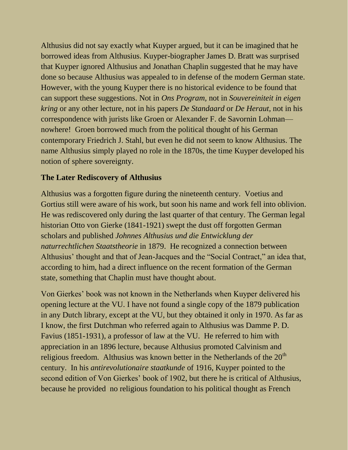Althusius did not say exactly what Kuyper argued, but it can be imagined that he borrowed ideas from Althusius. Kuyper-biographer James D. Bratt was surprised that Kuyper ignored Althusius and Jonathan Chaplin suggested that he may have done so because Althusius was appealed to in defense of the modern German state. However, with the young Kuyper there is no historical evidence to be found that can support these suggestions. Not in *Ons Program,* not in *Souvereiniteit in eigen kring* or any other lecture, not in his papers *De Standaard* or *De Heraut,* not in his correspondence with jurists like Groen or Alexander F. de Savornin Lohman nowhere! Groen borrowed much from the political thought of his German contemporary Friedrich J. Stahl, but even he did not seem to know Althusius. The name Althusius simply played no role in the 1870s, the time Kuyper developed his notion of sphere sovereignty.

### **The Later Rediscovery of Althusius**

Althusius was a forgotten figure during the nineteenth century. Voetius and Gortius still were aware of his work, but soon his name and work fell into oblivion. He was rediscovered only during the last quarter of that century. The German legal historian Otto von Gierke (1841-1921) swept the dust off forgotten German scholars and published *Johnnes Althusius und die Entwicklung der naturrechtlichen Staatstheorie* in 1879. He recognized a connection between Althusius' thought and that of Jean-Jacques and the "Social Contract," an idea that, according to him, had a direct influence on the recent formation of the German state, something that Chaplin must have thought about.

Von Gierkes' book was not known in the Netherlands when Kuyper delivered his opening lecture at the VU. I have not found a single copy of the 1879 publication in any Dutch library, except at the VU, but they obtained it only in 1970. As far as I know, the first Dutchman who referred again to Althusius was Damme P. D. Favius (1851-1931), a professor of law at the VU. He referred to him with appreciation in an 1896 lecture, because Althusius promoted Calvinism and religious freedom. Althusius was known better in the Netherlands of the  $20<sup>th</sup>$ century. In his *antirevolutionaire staatkunde* of 1916, Kuyper pointed to the second edition of Von Gierkes' book of 1902, but there he is critical of Althusius, because he provided no religious foundation to his political thought as French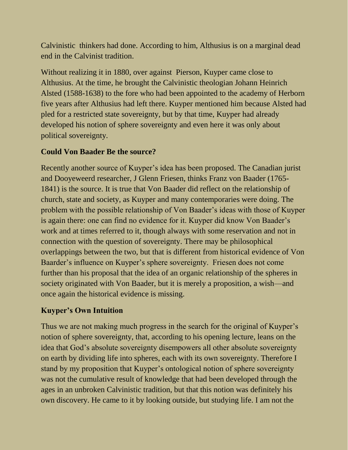Calvinistic thinkers had done. According to him, Althusius is on a marginal dead end in the Calvinist tradition.

Without realizing it in 1880, over against Pierson, Kuyper came close to Althusius. At the time, he brought the Calvinistic theologian Johann Heinrich Alsted (1588-1638) to the fore who had been appointed to the academy of Herborn five years after Althusius had left there. Kuyper mentioned him because Alsted had pled for a restricted state sovereignty, but by that time, Kuyper had already developed his notion of sphere sovereignty and even here it was only about political sovereignty.

## **Could Von Baader Be the source?**

Recently another source of Kuyper's idea has been proposed. The Canadian jurist and Dooyeweerd researcher, J Glenn Friesen, thinks Franz von Baader (1765- 1841) is the source. It is true that Von Baader did reflect on the relationship of church, state and society, as Kuyper and many contemporaries were doing. The problem with the possible relationship of Von Baader's ideas with those of Kuyper is again there: one can find no evidence for it. Kuyper did know Von Baader's work and at times referred to it, though always with some reservation and not in connection with the question of sovereignty. There may be philosophical overlappings between the two, but that is different from historical evidence of Von Baarder's influence on Kuyper's sphere sovereignty. Friesen does not come further than his proposal that the idea of an organic relationship of the spheres in society originated with Von Baader, but it is merely a proposition, a wish—and once again the historical evidence is missing.

# **Kuyper's Own Intuition**

Thus we are not making much progress in the search for the original of Kuyper's notion of sphere sovereignty, that, according to his opening lecture, leans on the idea that God's absolute sovereignty disempowers all other absolute sovereignty on earth by dividing life into spheres, each with its own sovereignty. Therefore I stand by my proposition that Kuyper's ontological notion of sphere sovereignty was not the cumulative result of knowledge that had been developed through the ages in an unbroken Calvinistic tradition, but that this notion was definitely his own discovery. He came to it by looking outside, but studying life. I am not the